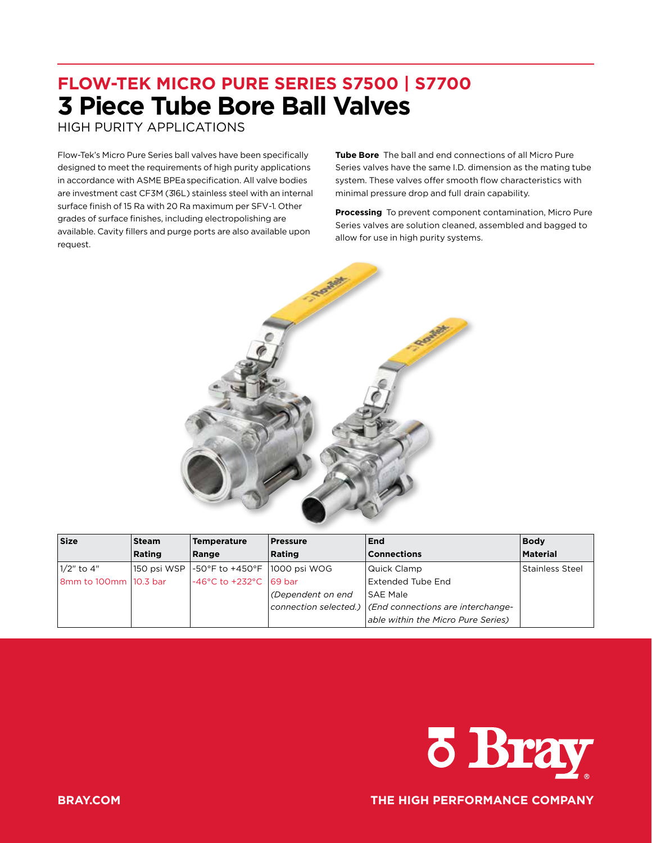# **FLOW-TEK MICRO PURE SERIES S7500 | S7700 3 Piece Tube Bore Ball Valves**

HIGH PURITY APPLICATIONS

Flow-Tek's Micro Pure Series ball valves have been specifically designed to meet the requirements of high purity applications in accordance with ASME BPEaspecification. All valve bodies are investment cast CF3M (316L) stainless steel with an internal surface finish of 15 Ra with 20 Ra maximum per SFV-1. Other grades of surface finishes, including electropolishing are available. Cavity fillers and purge ports are also available upon request.

**Tube Bore** The ball and end connections of all Micro Pure Series valves have the same I.D. dimension as the mating tube system. These valves offer smooth flow characteristics with minimal pressure drop and full drain capability.

**Processing** To prevent component contamination, Micro Pure Series valves are solution cleaned, assembled and bagged to allow for use in high purity systems.



| <b>Size</b>           | <b>Steam</b> | <b>Temperature</b>                          | <b>Pressure</b>     | End                                                       | <b>Body</b>     |
|-----------------------|--------------|---------------------------------------------|---------------------|-----------------------------------------------------------|-----------------|
|                       | Rating       | Range                                       | Rating              | <b>Connections</b>                                        | Material        |
| 11/2" to 4"           | 150 psi WSP  | -50°F to +450°F  1000 psi WOG               |                     | Quick Clamp                                               | Stainless Steel |
| 8mm to 100mm 10.3 bar |              | $-46^{\circ}$ C to $+232^{\circ}$ C 169 bar |                     | Extended Tube End                                         |                 |
|                       |              |                                             | l (Dependent on end | <b>SAE Male</b>                                           |                 |
|                       |              |                                             |                     | connection selected.)   (End connections are interchange- |                 |
|                       |              |                                             |                     | able within the Micro Pure Series)                        |                 |



**BRAY.COM THE HIGH PERFORMANCE COMPANY**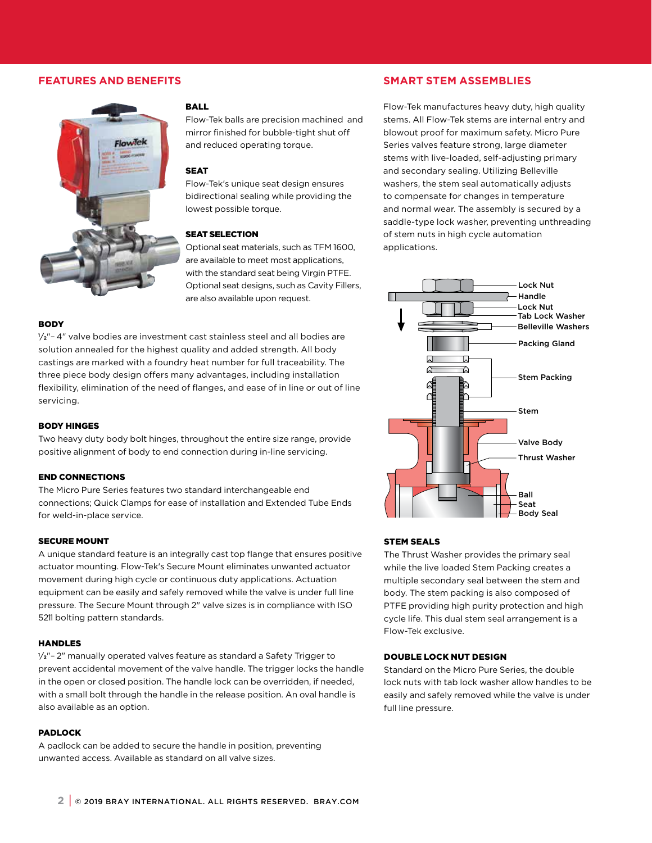# **FEATURES AND BENEFITS**



#### BALL

Flow-Tek balls are precision machined and mirror finished for bubble-tight shut off and reduced operating torque.

#### SEAT

Flow-Tek's unique seat design ensures bidirectional sealing while providing the lowest possible torque.

#### SEAT SELECTION

Optional seat materials, such as TFM 1600, are available to meet most applications, with the standard seat being Virgin PTFE. Optional seat designs, such as Cavity Fillers, are also available upon request.

#### **BODY**

1 ⁄2"– 4" valve bodies are investment cast stainless steel and all bodies are solution annealed for the highest quality and added strength. All body castings are marked with a foundry heat number for full traceability. The three piece body design offers many advantages, including installation flexibility, elimination of the need of flanges, and ease of in line or out of line servicing.

#### BODY HINGES

Two heavy duty body bolt hinges, throughout the entire size range, provide positive alignment of body to end connection during in-line servicing.

#### END CONNECTIONS

The Micro Pure Series features two standard interchangeable end connections; Quick Clamps for ease of installation and Extended Tube Ends for weld-in-place service.

#### SECURE MOUNT

A unique standard feature is an integrally cast top flange that ensures positive actuator mounting. Flow-Tek's Secure Mount eliminates unwanted actuator movement during high cycle or continuous duty applications. Actuation equipment can be easily and safely removed while the valve is under full line pressure. The Secure Mount through 2" valve sizes is in compliance with ISO 5211 bolting pattern standards.

#### HANDLES

1 ⁄2"– 2" manually operated valves feature as standard a Safety Trigger to prevent accidental movement of the valve handle. The trigger locks the handle in the open or closed position. The handle lock can be overridden, if needed, with a small bolt through the handle in the release position. An oval handle is also available as an option.

#### PADLOCK

A padlock can be added to secure the handle in position, preventing unwanted access. Available as standard on all valve sizes.

# **SMART STEM ASSEMBLIES**

Flow-Tek manufactures heavy duty, high quality stems. All Flow-Tek stems are internal entry and blowout proof for maximum safety. Micro Pure Series valves feature strong, large diameter stems with live-loaded, self-adjusting primary and secondary sealing. Utilizing Belleville washers, the stem seal automatically adjusts to compensate for changes in temperature and normal wear. The assembly is secured by a saddle-type lock washer, preventing unthreading of stem nuts in high cycle automation applications.



#### STEM SEALS

The Thrust Washer provides the primary seal while the live loaded Stem Packing creates a multiple secondary seal between the stem and body. The stem packing is also composed of PTFE providing high purity protection and high cycle life. This dual stem seal arrangement is a Flow-Tek exclusive.

#### DOUBLE LOCK NUT DESIGN

Standard on the Micro Pure Series, the double lock nuts with tab lock washer allow handles to be easily and safely removed while the valve is under full line pressure.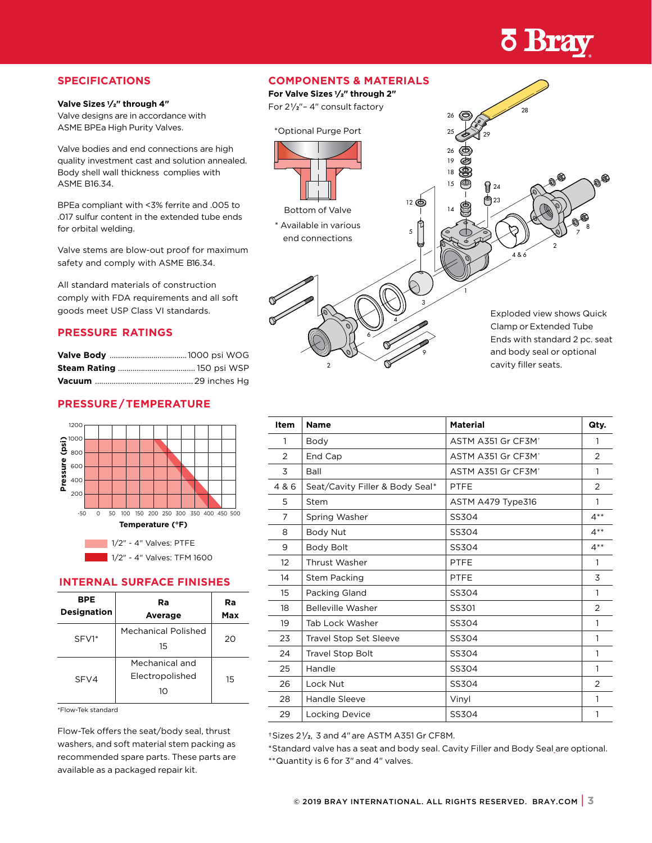# **o Bray**

# **SPECIFICATIONS**

#### **Valve Sizes 1 ⁄2" through 4"**

Valve designs are in accordance with ASME BPEa High Purity Valves.

Valve bodies and end connections are high quality investment cast and solution annealed. Body shell wall thickness complies with ASME B16.34.

BPEa compliant with <3% ferrite and .005 to .017 sulfur content in the extended tube ends for orbital welding.

Valve stems are blow-out proof for maximum safety and comply with ASME B16.34.

All standard materials of construction comply with FDA requirements and all soft goods meet USP Class VI standards.

# **PRESSURE RATINGS**

# **PRESSURE/TEMPERATURE**



### **INTERNAL SURFACE FINISHES**

| BPE<br><b>Designation</b> | Ra<br>Average                           | Ra<br>Max |
|---------------------------|-----------------------------------------|-----------|
| SFV1*                     | Mechanical Polished<br>15               | 20        |
| SFV4                      | Mechanical and<br>Electropolished<br>10 | 15        |

\*Flow-Tek standard

Flow-Tek offers the seat/body seal, thrust washers, and soft material stem packing as recommended spare parts. These parts are available as a packaged repair kit.

# **COMPONENTS & MATERIALS**



| Item  | <b>Name</b>                     | <b>Material</b>                | Qty.           |
|-------|---------------------------------|--------------------------------|----------------|
| 1     | Body                            | ASTM A351 Gr CF3M <sup>+</sup> | 1              |
| 2     | End Cap                         | ASTM A351 Gr CF3M <sup>+</sup> | 2              |
| 3     | Ball                            | ASTM A351 Gr CF3M <sup>+</sup> | 1              |
| 4 & 6 | Seat/Cavity Filler & Body Seal* | <b>PTFE</b>                    | $\overline{2}$ |
| 5     | <b>Stem</b>                     | ASTM A479 Type316              | $\mathbf{1}$   |
| 7     | Spring Washer                   | SS304                          | $4**$          |
| 8     | Body Nut                        | SS304                          | $4**$          |
| 9     | Body Bolt                       | SS304                          | $4**$          |
| 12    | Thrust Washer                   | <b>PTFE</b>                    | 1              |
| 14    | <b>Stem Packing</b>             | <b>PTFE</b>                    | 3              |
| 15    | Packing Gland                   | SS304                          | 1              |
| 18    | Belleville Washer               | SS301                          | 2              |
| 19    | Tab Lock Washer                 | SS304                          | 1              |
| 23    | <b>Travel Stop Set Sleeve</b>   | SS304                          | 1              |
| 24    | <b>Travel Stop Bolt</b>         | SS304                          | 1              |
| 25    | Handle                          | SS304                          | 1              |
| 26    | Lock Nut                        | SS304                          | 2              |
| 28    | Handle Sleeve                   | Vinyl                          | 1              |
| 29    | <b>Locking Device</b>           | SS304                          | 1              |

†Sizes 2 <sup>1</sup> ⁄2, 3 and 4" are ASTM A351 Gr CF8M.

\*Standard valve has a seat and body seal. Cavity Filler and Body Seal are optional.

\*\*Quantity is 6 for 3" and 4" valves.